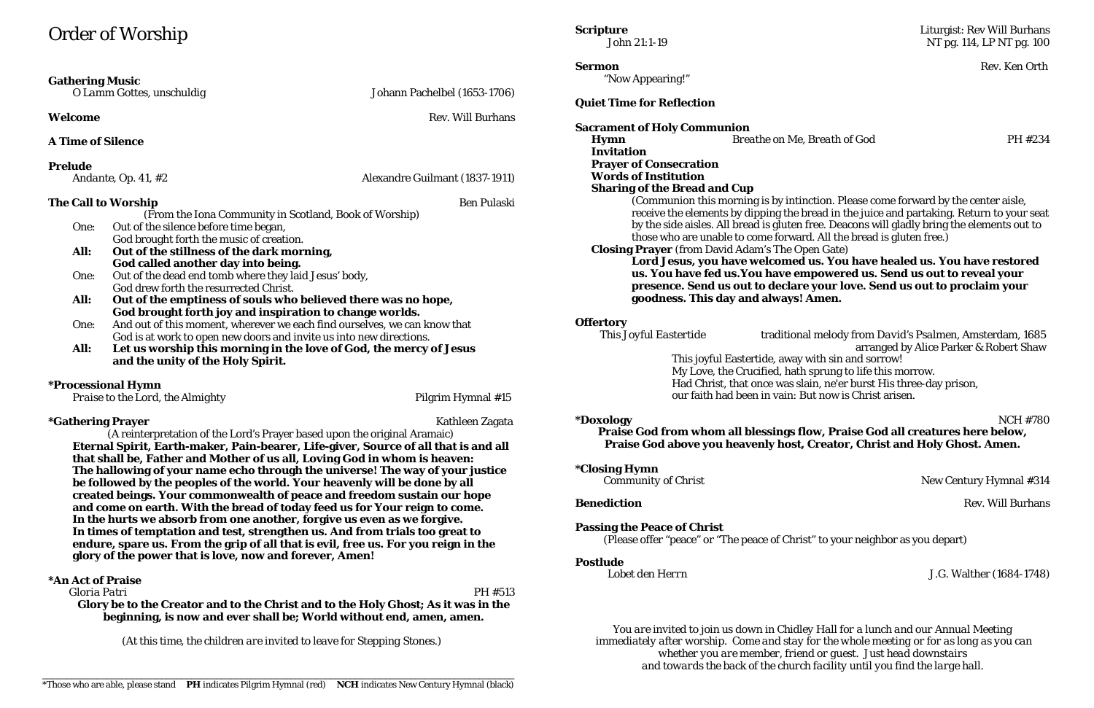## Order of Worship

| <b>Gathering Music</b>           | O Lamm Gottes, unschuldig                                                                               | Johann Pachelbel (1653-1706)                                              |                      |
|----------------------------------|---------------------------------------------------------------------------------------------------------|---------------------------------------------------------------------------|----------------------|
| Welcome                          |                                                                                                         | <b>Rev. Will Burhans</b>                                                  | Quie<br><b>Sacra</b> |
| <b>A Time of Silence</b>         |                                                                                                         |                                                                           | $\mathbf{H}$         |
| <b>Prelude</b>                   |                                                                                                         |                                                                           | In<br>P <sub>1</sub> |
|                                  | Andante, Op. 41, #2                                                                                     | Alexandre Guilmant (1837-1911)                                            | W<br><b>Sl</b>       |
| <b>The Call to Worship</b>       |                                                                                                         | <b>Ben Pulaski</b>                                                        |                      |
|                                  | (From the Iona Community in Scotland, Book of Worship)                                                  |                                                                           |                      |
| One:                             | Out of the silence before time began,                                                                   |                                                                           |                      |
|                                  |                                                                                                         | God brought forth the music of creation.                                  |                      |
| All:                             | Out of the stillness of the dark morning,                                                               |                                                                           | <b>Cl</b>            |
|                                  | God called another day into being.                                                                      |                                                                           |                      |
| One:                             | Out of the dead end tomb where they laid Jesus' body,                                                   |                                                                           |                      |
|                                  | God drew forth the resurrected Christ.                                                                  |                                                                           |                      |
| All:                             | Out of the emptiness of souls who believed there was no hope,                                           |                                                                           |                      |
|                                  | God brought forth joy and inspiration to change worlds.                                                 |                                                                           |                      |
| One:                             |                                                                                                         | And out of this moment, wherever we each find ourselves, we can know that | <b>Offer</b>         |
|                                  | God is at work to open new doors and invite us into new directions.                                     |                                                                           |                      |
| All:                             | Let us worship this morning in the love of God, the mercy of Jesus<br>and the unity of the Holy Spirit. |                                                                           |                      |
|                                  | <i><b>*Processional Hymn</b></i>                                                                        |                                                                           |                      |
| Praise to the Lord, the Almighty |                                                                                                         | Pilgrim Hymnal #15                                                        |                      |

#### **\*Gathering Prayer Kathleen Zagata**

(A reinterpretation of the Lord's Prayer based upon the original Aramaic) **Eternal Spirit, Earth-maker, Pain-bearer, Life-giver, Source of all that is and all that shall be, Father and Mother of us all, Loving God in whom is heaven: The hallowing of your name echo through the universe! The way of your justice be followed by the peoples of the world. Your heavenly will be done by all created beings. Your commonwealth of peace and freedom sustain our hope and come on earth. With the bread of today feed us for Your reign to come. In the hurts we absorb from one another, forgive us even as we forgive. In times of temptation and test, strengthen us. And from trials too great to endure, spare us. From the grip of all that is evil, free us. For you reign in the glory of the power that is love, now and forever, Amen!**

#### **\*An Act of Praise**

*You are invited to join us down in Chidley Hall for a lunch and our Annual Meeting immediately after worship. Come and stay for the whole meeting or for as long as you can whether you are member, friend or guest. Just head downstairs* and towards the back of the church facility until you find the large hall.

 *Gloria Patri* PH #513 **Glory be to the Creator and to the Christ and to the Holy Ghost; As it was in the beginning, is now and ever shall be; World without end, amen, amen.**

*(At this time, the children are invited to leave for Stepping Stones.)*

**Sermon** Rev. Ken Orth

"Now Appearing!"

### **Quiet Time for Reflection**

(Communion this morning is by intinction. Please come forward by the center aisle, receive the elements by dipping the bread in the juice and partaking. Return to your seat by the side aisles. All bread is gluten free. Deacons will gladly bring the elements out to

## **Sacrament of Holy Communion Hymn** *Breathe on Me, Breath of God* PH #234 **Invitation Prayer of Consecration Words of Institution Sharing of the Bread and Cup** those who are unable to come forward. All the bread is gluten free.) losing Prayer (from David Adam's The Open Gate) **goodness. This day and always! Amen.**

r**tory**<br>This Joyful Eastertide

**Lord Jesus, you have welcomed us. You have healed us. You have restored us. You have fed us.You have empowered us. Send us out to reveal your presence. Send us out to declare your love. Send us out to proclaim your** 

New Century Hymnal #314

**Benediction** Rev. Will Burhans

*This Joyful Eastertide* traditional melody from *David's Psalmen*, Amsterdam, 1685 arranged by Alice Parker & Robert Shaw This joyful Eastertide, away with sin and sorrow! My Love, the Crucified, hath sprung to life this morrow. Had Christ, that once was slain, ne'er burst His three-day prison, our faith had been in vain: But now is Christ arisen.

**\*Doxology** NCH #780 **Praise God from whom all blessings flow, Praise God all creatures here below, Praise God above you heavenly host, Creator, Christ and Holy Ghost. Amen.**

**\*Closing Hymn** 

#### **Passing the Peace of Christ**

(Please offer "peace" or "The peace of Christ" to your neighbor as you depart)

#### **Postlude**

*Lobet den Herrn* J.G. Walther (1684-1748)

#### **Scripture** Liturgist: Rev Will Burhans<br>John 21:1-19 100<br>NT pg. 114, LP NT pg. 100 NT pg. 114, LP NT pg. 100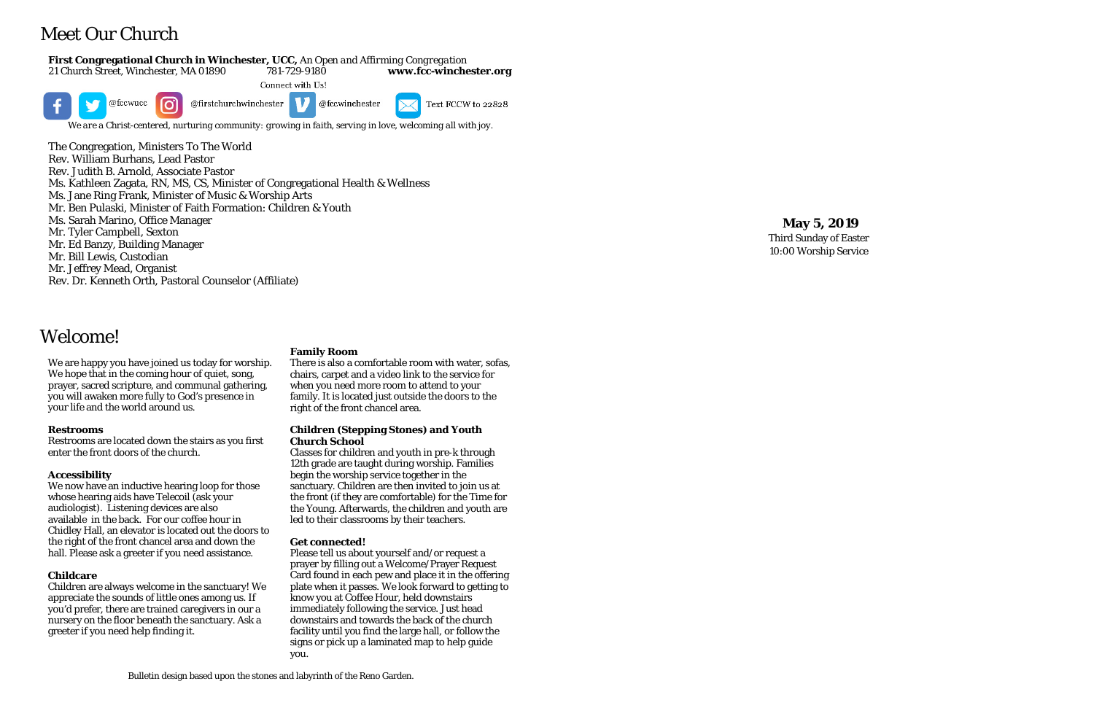# Meet Our Church

#### **First Congregational Church in Winchester, UCC,** *An Open and Affirming Congregation*

21 Church Street, Winchester, MA 01890 781-729-9180 -9180 **www.fcc -winchester.org** Connect with Us! ര് @fccwucc @firstchurchwinchester @fccwinchester Text FCCW to 22828

*We are a Christ -centered, nurturing community: growing in faith, serving in love, welcoming all with joy.*

The Congregation, Ministers To The World Rev. William Burhans, Lead Pastor Rev. Judith B. Arnold, Associate Pastor Ms. Kathleen Zagata, RN, MS, CS, Minister of Congregational Health & Wellness Ms. Jane Ring Frank, Minister of Music & Worship Arts Mr. Ben Pulaski, Minister of Faith Formation: Children & Youth Ms. Sarah Marino, Office Manager Mr. Tyler Campbell, Sexton Mr. Ed Banzy, Building Manager Mr. Bill Lewis, Custodian Mr. Jeffrey Mead, Organist Rev. Dr. Kenneth Orth, Pastoral Counselor (Affiliate)

## **May 5 , 201 9**

Third Sunday of Easter 10:00 Worship Service

Bulletin design based upon the stones and labyrinth of the Reno Garden .

## Welcome!

We are happy you have joined us today for worship. We hope that in the coming hour of quiet, song, prayer, sacred scripture, and communal gathering, you will awaken more fully to God's presence in your life and the world around us.

#### **Restrooms**

Restrooms are located down the stairs as you first enter the front doors of the church.

#### **Accessibility**

We now have an inductive hearing loop for those whose hearing aids have Telecoil (ask your audiologist). Listening devices are also available in the back. For our coffee hour in Chidley Hall, an elevator is located out the doors to the right of the front chancel area and down the hall. Please ask a greeter if you need assistance.

#### **Childcare**

Children are always welcome in the sanctuary! We appreciate the sounds of little ones among us. If you'd prefer, there are trained caregivers in our a nursery on the floor beneath the sanctuary. Ask a greeter if you need help finding it.

#### **Family Room**

There is also a comfortable room with water, sofas, chairs, carpet and a video link to the service for when you need more room to attend to your family. It is located just outside the doors to the right of the front chancel area.

#### **Children (Stepping Stones) and Youth Church School**

Classes for children and youth in pre -k through 12th grade are taught during worship. Families begin the worship service together in the sanctuary. Children are then invited to join us at the front (if they are comfortable) for the Time for the Young. Afterwards, the children and youth are led to their classrooms by their teachers.

#### **Get connected!**

Please tell us about yourself and/or request a prayer by filling out a Welcome/Prayer Request Card found in each pew and place it in the offering plate when it passes. We look forward to getting to know you at Coffee Hour, held downstairs immediately following the service. Just head downstairs and towards the back of the church facility until you find the large hall, or follow the signs or pick up a laminated map to help guide you.